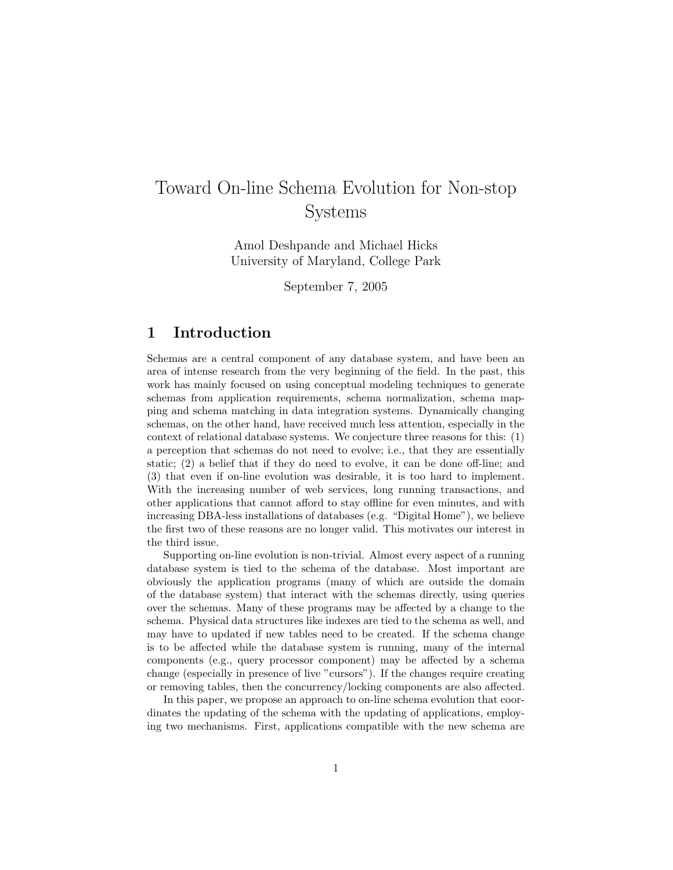# Toward On-line Schema Evolution for Non-stop Systems

Amol Deshpande and Michael Hicks University of Maryland, College Park

September 7, 2005

# 1 Introduction

Schemas are a central component of any database system, and have been an area of intense research from the very beginning of the field. In the past, this work has mainly focused on using conceptual modeling techniques to generate schemas from application requirements, schema normalization, schema mapping and schema matching in data integration systems. Dynamically changing schemas, on the other hand, have received much less attention, especially in the context of relational database systems. We conjecture three reasons for this: (1) a perception that schemas do not need to evolve; i.e., that they are essentially static; (2) a belief that if they do need to evolve, it can be done off-line; and (3) that even if on-line evolution was desirable, it is too hard to implement. With the increasing number of web services, long running transactions, and other applications that cannot afford to stay offline for even minutes, and with increasing DBA-less installations of databases (e.g. "Digital Home"), we believe the first two of these reasons are no longer valid. This motivates our interest in the third issue.

Supporting on-line evolution is non-trivial. Almost every aspect of a running database system is tied to the schema of the database. Most important are obviously the application programs (many of which are outside the domain of the database system) that interact with the schemas directly, using queries over the schemas. Many of these programs may be affected by a change to the schema. Physical data structures like indexes are tied to the schema as well, and may have to updated if new tables need to be created. If the schema change is to be affected while the database system is running, many of the internal components (e.g., query processor component) may be affected by a schema change (especially in presence of live "cursors"). If the changes require creating or removing tables, then the concurrency/locking components are also affected.

In this paper, we propose an approach to on-line schema evolution that coordinates the updating of the schema with the updating of applications, employing two mechanisms. First, applications compatible with the new schema are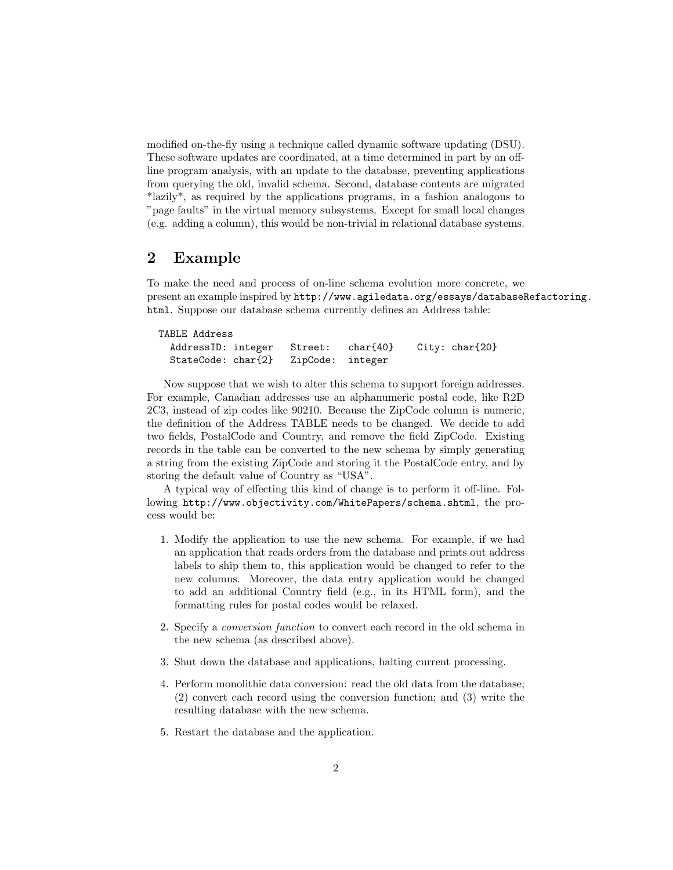modified on-the-fly using a technique called dynamic software updating (DSU). These software updates are coordinated, at a time determined in part by an offline program analysis, with an update to the database, preventing applications from querying the old, invalid schema. Second, database contents are migrated \*lazily\*, as required by the applications programs, in a fashion analogous to "page faults" in the virtual memory subsystems. Except for small local changes (e.g. adding a column), this would be non-trivial in relational database systems.

#### 2 Example

To make the need and process of on-line schema evolution more concrete, we present an example inspired by http://www.agiledata.org/essays/databaseRefactoring. html. Suppose our database schema currently defines an Address table:

| TABLE Address                       |  |                                                    |  |
|-------------------------------------|--|----------------------------------------------------|--|
|                                     |  | AddressID: integer Street: char{40} City: char{20} |  |
| StateCode: char{2} ZipCode: integer |  |                                                    |  |

Now suppose that we wish to alter this schema to support foreign addresses. For example, Canadian addresses use an alphanumeric postal code, like R2D 2C3, instead of zip codes like 90210. Because the ZipCode column is numeric, the definition of the Address TABLE needs to be changed. We decide to add two fields, PostalCode and Country, and remove the field ZipCode. Existing records in the table can be converted to the new schema by simply generating a string from the existing ZipCode and storing it the PostalCode entry, and by storing the default value of Country as "USA".

A typical way of effecting this kind of change is to perform it off-line. Following http://www.objectivity.com/WhitePapers/schema.shtml, the process would be:

- 1. Modify the application to use the new schema. For example, if we had an application that reads orders from the database and prints out address labels to ship them to, this application would be changed to refer to the new columns. Moreover, the data entry application would be changed to add an additional Country field (e.g., in its HTML form), and the formatting rules for postal codes would be relaxed.
- 2. Specify a conversion function to convert each record in the old schema in the new schema (as described above).
- 3. Shut down the database and applications, halting current processing.
- 4. Perform monolithic data conversion: read the old data from the database; (2) convert each record using the conversion function; and (3) write the resulting database with the new schema.
- 5. Restart the database and the application.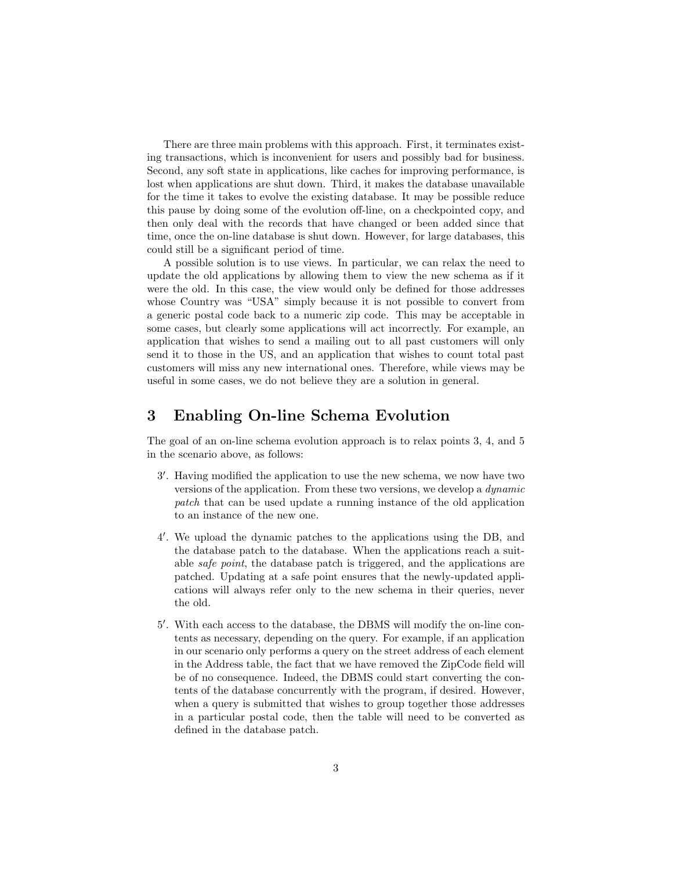There are three main problems with this approach. First, it terminates existing transactions, which is inconvenient for users and possibly bad for business. Second, any soft state in applications, like caches for improving performance, is lost when applications are shut down. Third, it makes the database unavailable for the time it takes to evolve the existing database. It may be possible reduce this pause by doing some of the evolution off-line, on a checkpointed copy, and then only deal with the records that have changed or been added since that time, once the on-line database is shut down. However, for large databases, this could still be a significant period of time.

A possible solution is to use views. In particular, we can relax the need to update the old applications by allowing them to view the new schema as if it were the old. In this case, the view would only be defined for those addresses whose Country was "USA" simply because it is not possible to convert from a generic postal code back to a numeric zip code. This may be acceptable in some cases, but clearly some applications will act incorrectly. For example, an application that wishes to send a mailing out to all past customers will only send it to those in the US, and an application that wishes to count total past customers will miss any new international ones. Therefore, while views may be useful in some cases, we do not believe they are a solution in general.

## 3 Enabling On-line Schema Evolution

The goal of an on-line schema evolution approach is to relax points 3, 4, and 5 in the scenario above, as follows:

- 3 0 . Having modified the application to use the new schema, we now have two versions of the application. From these two versions, we develop a dynamic patch that can be used update a running instance of the old application to an instance of the new one.
- 4 0 . We upload the dynamic patches to the applications using the DB, and the database patch to the database. When the applications reach a suitable safe point, the database patch is triggered, and the applications are patched. Updating at a safe point ensures that the newly-updated applications will always refer only to the new schema in their queries, never the old.
- 5 0 . With each access to the database, the DBMS will modify the on-line contents as necessary, depending on the query. For example, if an application in our scenario only performs a query on the street address of each element in the Address table, the fact that we have removed the ZipCode field will be of no consequence. Indeed, the DBMS could start converting the contents of the database concurrently with the program, if desired. However, when a query is submitted that wishes to group together those addresses in a particular postal code, then the table will need to be converted as defined in the database patch.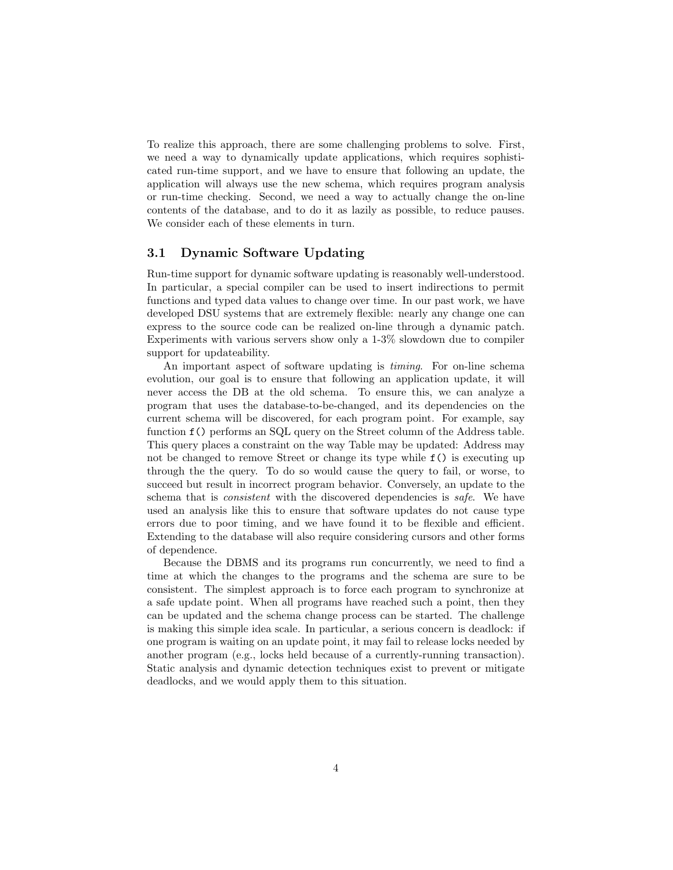To realize this approach, there are some challenging problems to solve. First, we need a way to dynamically update applications, which requires sophisticated run-time support, and we have to ensure that following an update, the application will always use the new schema, which requires program analysis or run-time checking. Second, we need a way to actually change the on-line contents of the database, and to do it as lazily as possible, to reduce pauses. We consider each of these elements in turn.

#### 3.1 Dynamic Software Updating

Run-time support for dynamic software updating is reasonably well-understood. In particular, a special compiler can be used to insert indirections to permit functions and typed data values to change over time. In our past work, we have developed DSU systems that are extremely flexible: nearly any change one can express to the source code can be realized on-line through a dynamic patch. Experiments with various servers show only a 1-3% slowdown due to compiler support for updateability.

An important aspect of software updating is timing. For on-line schema evolution, our goal is to ensure that following an application update, it will never access the DB at the old schema. To ensure this, we can analyze a program that uses the database-to-be-changed, and its dependencies on the current schema will be discovered, for each program point. For example, say function f() performs an SQL query on the Street column of the Address table. This query places a constraint on the way Table may be updated: Address may not be changed to remove Street or change its type while f() is executing up through the the query. To do so would cause the query to fail, or worse, to succeed but result in incorrect program behavior. Conversely, an update to the schema that is *consistent* with the discovered dependencies is *safe*. We have used an analysis like this to ensure that software updates do not cause type errors due to poor timing, and we have found it to be flexible and efficient. Extending to the database will also require considering cursors and other forms of dependence.

Because the DBMS and its programs run concurrently, we need to find a time at which the changes to the programs and the schema are sure to be consistent. The simplest approach is to force each program to synchronize at a safe update point. When all programs have reached such a point, then they can be updated and the schema change process can be started. The challenge is making this simple idea scale. In particular, a serious concern is deadlock: if one program is waiting on an update point, it may fail to release locks needed by another program (e.g., locks held because of a currently-running transaction). Static analysis and dynamic detection techniques exist to prevent or mitigate deadlocks, and we would apply them to this situation.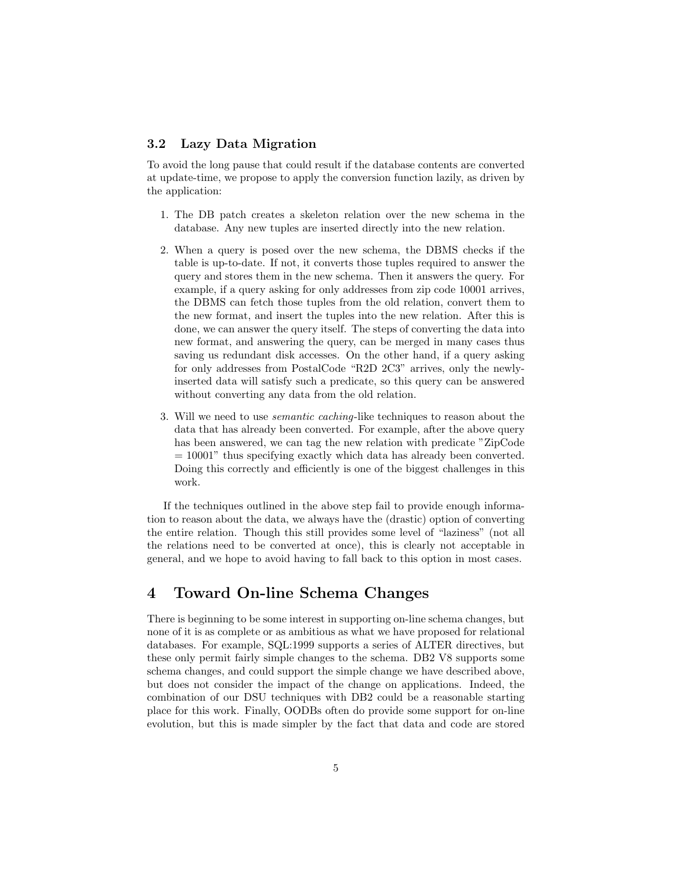#### 3.2 Lazy Data Migration

To avoid the long pause that could result if the database contents are converted at update-time, we propose to apply the conversion function lazily, as driven by the application:

- 1. The DB patch creates a skeleton relation over the new schema in the database. Any new tuples are inserted directly into the new relation.
- 2. When a query is posed over the new schema, the DBMS checks if the table is up-to-date. If not, it converts those tuples required to answer the query and stores them in the new schema. Then it answers the query. For example, if a query asking for only addresses from zip code 10001 arrives, the DBMS can fetch those tuples from the old relation, convert them to the new format, and insert the tuples into the new relation. After this is done, we can answer the query itself. The steps of converting the data into new format, and answering the query, can be merged in many cases thus saving us redundant disk accesses. On the other hand, if a query asking for only addresses from PostalCode "R2D 2C3" arrives, only the newlyinserted data will satisfy such a predicate, so this query can be answered without converting any data from the old relation.
- 3. Will we need to use semantic caching-like techniques to reason about the data that has already been converted. For example, after the above query has been answered, we can tag the new relation with predicate "ZipCode  $= 10001$ " thus specifying exactly which data has already been converted. Doing this correctly and efficiently is one of the biggest challenges in this work.

If the techniques outlined in the above step fail to provide enough information to reason about the data, we always have the (drastic) option of converting the entire relation. Though this still provides some level of "laziness" (not all the relations need to be converted at once), this is clearly not acceptable in general, and we hope to avoid having to fall back to this option in most cases.

## 4 Toward On-line Schema Changes

There is beginning to be some interest in supporting on-line schema changes, but none of it is as complete or as ambitious as what we have proposed for relational databases. For example, SQL:1999 supports a series of ALTER directives, but these only permit fairly simple changes to the schema. DB2 V8 supports some schema changes, and could support the simple change we have described above, but does not consider the impact of the change on applications. Indeed, the combination of our DSU techniques with DB2 could be a reasonable starting place for this work. Finally, OODBs often do provide some support for on-line evolution, but this is made simpler by the fact that data and code are stored